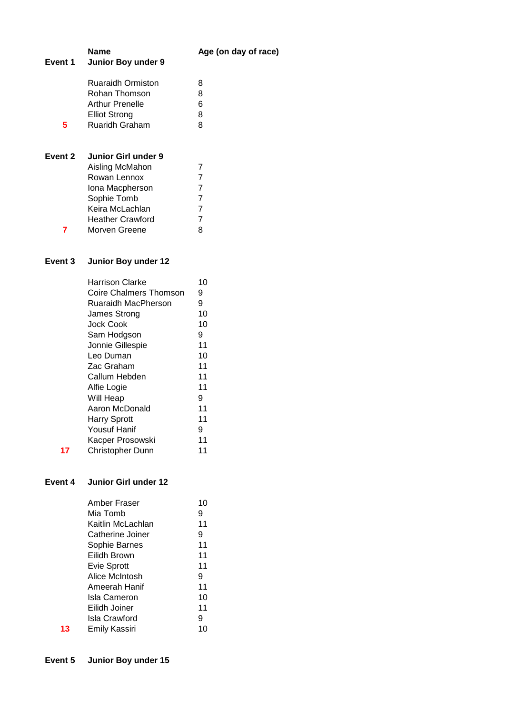| Event 1 | <b>Name</b><br>Junior Boy under 9                            | Age (on day of race) |
|---------|--------------------------------------------------------------|----------------------|
|         | <b>Ruaraidh Ormiston</b><br>Rohan Thomson<br>Arthur Prenelle | 8<br>8<br>6          |
| 5.      | <b>Elliot Strong</b><br><b>Ruaridh Graham</b>                | 8<br>8               |
| Event 2 | Junior Girl under 9<br>Aisling McMahon                       | 7                    |
|         | Rowan Lennox<br>Iona Macpherson                              | 7<br>7               |
|         | Sophie Tomb                                                  | 7                    |
|         | Keira McLachlan<br><b>Heather Crawford</b>                   | 7<br>7               |
|         | Morven Greene                                                | 8                    |

# **Event 3 Junior Boy under 12**

|    | Harrison Clarke         | 10 |
|----|-------------------------|----|
|    | Coire Chalmers Thomson  | 9  |
|    | Ruaraidh MacPherson     | 9  |
|    | James Strong            | 10 |
|    | Jock Cook               | 10 |
|    | Sam Hodgson             | 9  |
|    | Jonnie Gillespie        | 11 |
|    | Leo Duman               | 10 |
|    | Zac Graham              | 11 |
|    | Callum Hebden           | 11 |
|    | Alfie Logie             | 11 |
|    | Will Heap               | 9  |
|    | Aaron McDonald          | 11 |
|    | <b>Harry Sprott</b>     | 11 |
|    | <b>Yousuf Hanif</b>     | 9  |
|    | Kacper Prosowski        | 11 |
| 17 | <b>Christopher Dunn</b> | 11 |

### **Event 4 Junior Girl under 12**

|    | Amber Fraser         | 10 |
|----|----------------------|----|
|    | Mia Tomb             | 9  |
|    | Kaitlin McLachlan    | 11 |
|    | Catherine Joiner     | 9  |
|    | Sophie Barnes        | 11 |
|    | Eilidh Brown         | 11 |
|    | <b>Evie Sprott</b>   | 11 |
|    | Alice McIntosh       | 9  |
|    | Ameerah Hanif        | 11 |
|    | Isla Cameron         | 10 |
|    | Eilidh Joiner        | 11 |
|    | Isla Crawford        | 9  |
| 13 | <b>Emily Kassiri</b> |    |
|    |                      |    |